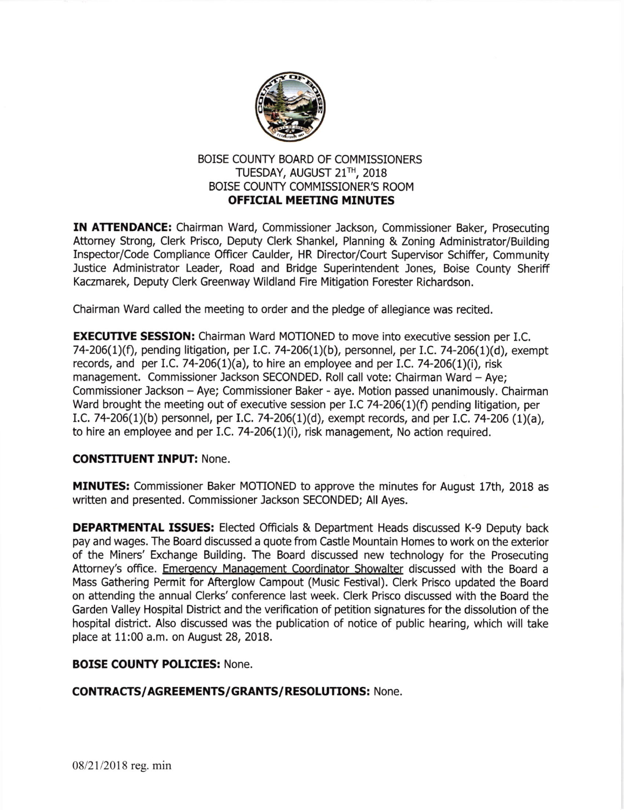

# BOISE COUNTY BOARD OF COMMISSIONERS TUESDAY, AUGUST 21<sup>TH</sup>, 2018 BOISE COUNTY COMMISSIONER'S ROOM OFFICIAL MEETING MINUTES

IN ATTENDANCE: Chairman Ward, Commissioner Jackson, Commissioner Baker, Prosecuting Attorney Strong, Clerk Prisco, Deputy Clerk Shankel, Planning & Zoning Administrator/Building Inspector/Code Compliance Officer Caulder, HR Director/Court Supervisor Schiffer, Community Justice Administrator Leader, Road and Bridge Superintendent Jones, Boise County Sheriff Kaczmarek, Deputy Clerk Greenway Wildland Fire Mitigation Forester Richardson.

Chairman Ward called the meeting to order and the pledge of allegiance was recited.

**EXECUTIVE SESSION:** Chairman Ward MOTIONED to move into executive session per I.C. 74-206(1)(f), pending litigation, per I.C. 74-206(1)(b), personnel, per I.C. 74-206(1)(d), exempt records, and per I.C. 74-206(1)(a), to hire an employee and per I.C. 74-206(1)(i), risk management. Commissioner Jackson SECONDED. Roll call vote: Chairman Ward - Aye; Commissioner Jackson - Aye; Commissioner Baker - aye. Motion passed unanimously. Chairman Ward brought the meeting out of executive session per I.C 74-206(1)(f) pending litigation, per I.C. 74-206(1)(b) personnel, per I.C. 74-206(1)(d), exempt records, and per I.C. 74-206 (1)(a), to hire an employee and per I.C. 74-206(1)(i), risk management. No action required.

## CONSTITUENT INPUT: None.

MINUTES: Commissioner Baker MOTIONED to approve the minutes for August 17th, 2018 as written and presented. Commissioner Jackson SECONDED; All Ayes.

**DEPARTMENTAL ISSUES:** Elected Officials & Department Heads discussed K-9 Deputy back pay and wages. The Board discussed a quote from Castle Mountain Homes to work on the exterior of the Miners' Exchange Building. The Board discussed new technology for the Prosecuting Attorney's office. Emergency Management Coordinator Showalter discussed with the Board a Mass Gathering Permit for Afterglow Campout (Music Festival). Clerk Prisco updated the Board on attending the annual Clerks' conference last week. Clerk Prisco discussed with the Board the Garden Valley Hospital District and the verification of petition signatures for the dissolution of the hospital district. Also discussed was the publication of notice of public hearing, which will take place at 11:00 a.m. on August 28,2018.

## BOISE COUNTY POLICIES: None.

## CONTRACTS/AGREEMENTS/GRANTS/RESOLUTIONS: None.